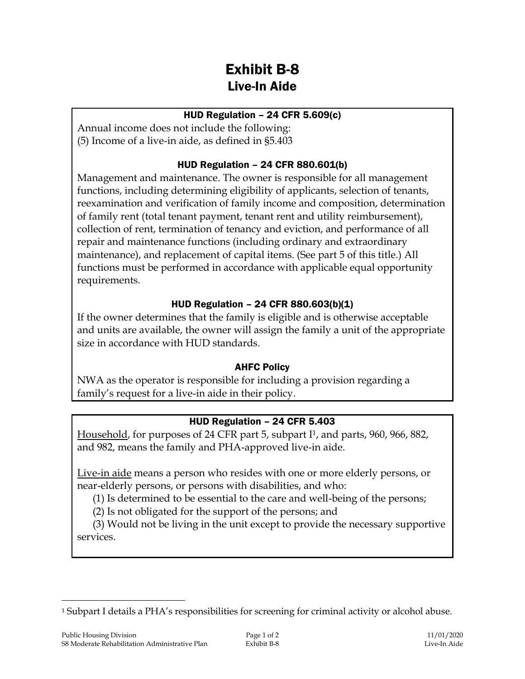# Exhibit B-8 Live-In Aide

## HUD Regulation – 24 CFR 5.609(c)

Annual income does not include the following: (5) Income of a live-in aide, as defined in §5.403

## HUD Regulation – 24 CFR 880.601(b)

Management and maintenance. The owner is responsible for all management functions, including determining eligibility of applicants, selection of tenants, reexamination and verification of family income and composition, determination of family rent (total tenant payment, tenant rent and utility reimbursement), collection of rent, termination of tenancy and eviction, and performance of all repair and maintenance functions (including ordinary and extraordinary maintenance), and replacement of capital items. (See part 5 of this title.) All functions must be performed in accordance with applicable equal opportunity requirements.

## HUD Regulation – 24 CFR 880.603(b)(1)

If the owner determines that the family is eligible and is otherwise acceptable and units are available, the owner will assign the family a unit of the appropriate size in accordance with HUD standards.

## AHFC Policy

NWA as the operator is responsible for including a provision regarding a family's request for a live-in aide in their policy.

## HUD Regulation – 24 CFR 5.403

Household, for purposes of 24 CFR part 5, subpart I1, and parts, 960, 966, 882, and 982, means the family and PHA-approved live-in aide.

Live-in aide means a person who resides with one or more elderly persons, or near-elderly persons, or persons with disabilities, and who:

(1) Is determined to be essential to the care and well-being of the persons;

(2) Is not obligated for the support of the persons; and

(3) Would not be living in the unit except to provide the necessary supportive services.

 $\overline{a}$ 

<sup>1</sup> Subpart I details a PHA's responsibilities for screening for criminal activity or alcohol abuse.